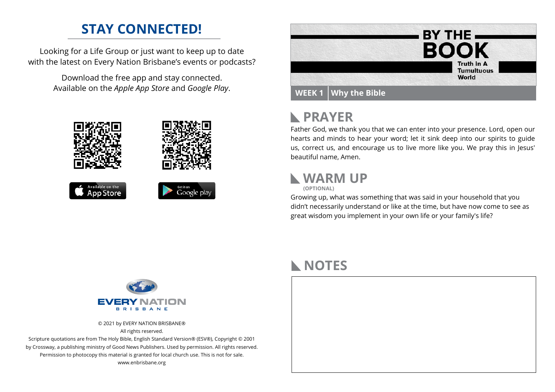### **STAY CONNECTED!**

Looking for a Life Group or just want to keep up to date with the latest on Every Nation Brisbane's events or podcasts?

> Download the free app and stay connected. Available on the *Apple App Store* and *Google Play*.





## **PRAYER**

Father God, we thank you that we can enter into your presence. Lord, open our hearts and minds to hear your word; let it sink deep into our spirits to guide us, correct us, and encourage us to live more like you. We pray this in Jesus' beautiful name, Amen.

#### **WARM UP**



Growing up, what was something that was said in your household that you didn't necessarily understand or like at the time, but have now come to see as great wisdom you implement in your own life or your family's life?



© 2021 by EVERY NATION BRISBANE® All rights reserved.

Scripture quotations are from The Holy Bible, English Standard Version® (ESV®), Copyright © 2001 by Crossway, a publishing ministry of Good News Publishers. Used by permission. All rights reserved. Permission to photocopy this material is granted for local church use. This is not for sale. www.enbrisbane.org

### **NOTES**